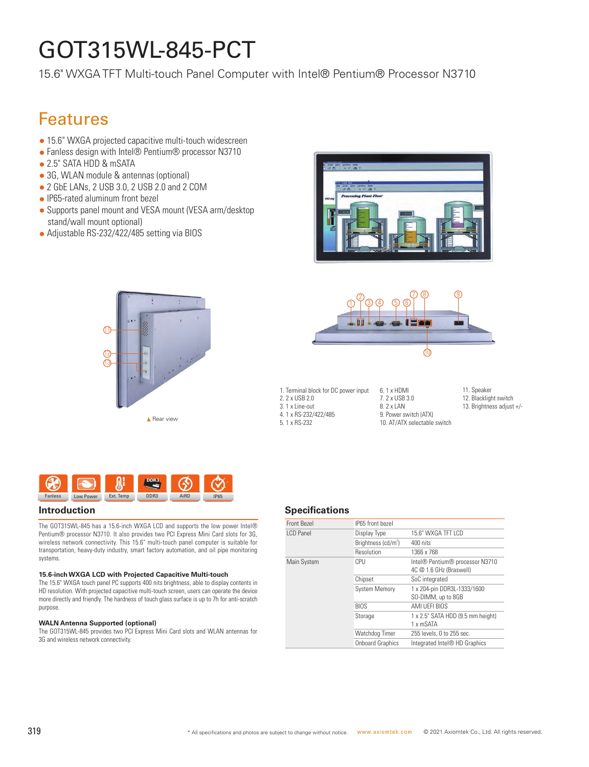# GOT315WL-845-PCT

15.6" WXGA TFT Multi-touch Panel Computer with Intel® Pentium® Processor N3710

## Features

- 15.6" WXGA projected capacitive multi-touch widescreen
- Fanless design with Intel® Pentium® processor N3710
- 2.5" SATA HDD & mSATA
- 3G, WLAN module & antennas (optional)
- 2 GbE LANs, 2 USB 3.0, 2 USB 2.0 and 2 COM
- IP65-rated aluminum front bezel
- Supports panel mount and VESA mount (VESA arm/desktop stand/wall mount optional)
- Adjustable RS-232/422/485 setting via BIOS







2. 2 x USB 2.0 3. 1 x Line-out 4. 1 x RS-232/422/485 5. 1 x RS-232 ■ 1. A no-232/422/403 and the switch Rear view<br>5. 1 x RS-232 5. 1 x RS-232 10. AT/ATX selectable switch Rear view

1. Terminal block for DC power input

- 6. 1 x HDMI 7. 2 x USB 3.0 8. 2 x LAN 9. Power switch (ATX)
- 11. Speaker
- 12. Blacklight switch 13. Brightness adjust +/-
- 



The GOT315WL-845 has a 15.6-inch WXGA LCD and supports the low power Intel® Pentium® processor N3710. It also provides two PCI Express Mini Card slots for 3G, wireless network connectivity. This 15.6" multi-touch panel computer is suitable for transportation, heavy-duty industry, smart factory automation, and oil pipe monitoring systems.

#### **15.6-inch WXGA LCD with Projected Capacitive Multi-touch**

The 15.6" WXGA touch panel PC supports 400 nits brightness, able to display contents in HD resolution. With projected capacitive multi-touch screen, users can operate the device more directly and friendly. The hardness of touch glass surface is up to 7h for anti-scratch purpose.

#### **WALN Antenna Supported (optional)**

The GOT315WL-845 provides two PCI Express Mini Card slots and WLAN antennas for 3G and wireless network connectivity.

#### **Introduction Specifications**

| Front Bezel | IP65 front bezel        |                                                                                    |
|-------------|-------------------------|------------------------------------------------------------------------------------|
| I CD Panel  | Display Type            | 15.6" WXGA TFT LCD                                                                 |
|             | Brightness $(cd/m^2)$   | 400 nits                                                                           |
|             | Resolution              | 1366 x 768                                                                         |
| Main System | CPU                     | Intel <sup>®</sup> Pentium <sup>®</sup> processor N3710<br>4C @ 1.6 GHz (Braswell) |
|             | Chipset                 | SoC integrated                                                                     |
|             | <b>System Memory</b>    | 1 x 204-pin DDR3L-1333/1600<br>SO-DIMM, up to 8GB                                  |
|             | <b>BIOS</b>             | AMI UEFI BIOS                                                                      |
|             | Storage                 | 1 x 2.5" SATA HDD (9.5 mm height)<br>1 x mSATA                                     |
|             | Watchdog Timer          | 255 levels, 0 to 255 sec.                                                          |
|             | <b>Onboard Graphics</b> | Integrated Intel <sup>®</sup> HD Graphics                                          |